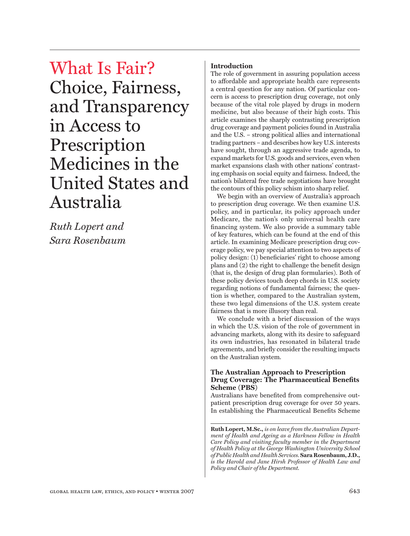What Is Fair? Choice, Fairness, and Transparency in Access to Prescription Medicines in the United States and Australia

*Ruth Lopert and Sara Rosenbaum*

# **Introduction**

The role of government in assuring population access to affordable and appropriate health care represents a central question for any nation. Of particular concern is access to prescription drug coverage, not only because of the vital role played by drugs in modern medicine, but also because of their high costs. This article examines the sharply contrasting prescription drug coverage and payment policies found in Australia and the U.S. – strong political allies and international trading partners – and describes how key U.S. interests have sought, through an aggressive trade agenda, to expand markets for U.S. goods and services, even when market expansions clash with other nations' contrasting emphasis on social equity and fairness. Indeed, the nation's bilateral free trade negotiations have brought the contours of this policy schism into sharp relief.

We begin with an overview of Australia's approach to prescription drug coverage. We then examine U.S. policy, and in particular, its policy approach under Medicare, the nation's only universal health care financing system. We also provide a summary table of key features, which can be found at the end of this article. In examining Medicare prescription drug coverage policy, we pay special attention to two aspects of policy design: (1) beneficiaries' right to choose among plans and (2) the right to challenge the benefit design (that is, the design of drug plan formularies). Both of these policy devices touch deep chords in U.S. society regarding notions of fundamental fairness; the question is whether, compared to the Australian system, these two legal dimensions of the U.S. system create fairness that is more illusory than real.

We conclude with a brief discussion of the ways in which the U.S. vision of the role of government in advancing markets, along with its desire to safeguard its own industries, has resonated in bilateral trade agreements, and briefly consider the resulting impacts on the Australian system.

# **The Australian Approach to Prescription Drug Coverage: The Pharmaceutical Benefits Scheme (PBS)**

Australians have benefited from comprehensive outpatient prescription drug coverage for over 50 years. In establishing the Pharmaceutical Benefits Scheme

**Ruth Lopert, M.Sc.,** *is on leave from the Australian Department of Health and Ageing as a Harkness Fellow in Health Care Policy and visiting faculty member in the Department of Health Policy at the George Washington University School of Public Health and Health Services.* **Sara Rosenbaum, J.D.,** *is the Harold and Jane Hirsh Professor of Health Law and Policy and Chair of the Department.*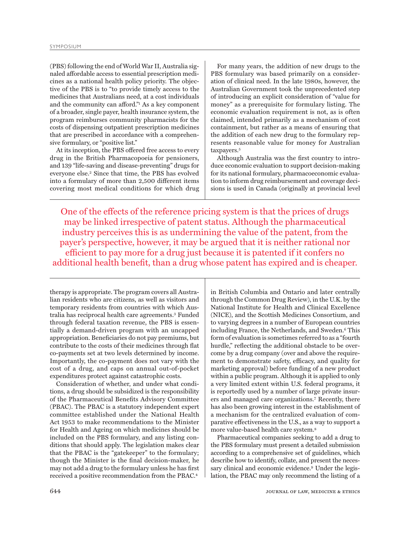(PBS) following the end of World War II, Australia signaled affordable access to essential prescription medicines as a national health policy priority. The objective of the PBS is to "to provide timely access to the medicines that Australians need, at a cost individuals and the community can afford."1 As a key component of a broader, single payer, health insurance system, the program reimburses community pharmacists for the costs of dispensing outpatient prescription medicines that are prescribed in accordance with a comprehensive formulary, or "positive list."

At its inception, the PBS offered free access to every drug in the British Pharmacopoeia for pensioners, and 139 "life-saving and disease-preventing" drugs for everyone else.2 Since that time, the PBS has evolved into a formulary of more than 2,500 different items covering most medical conditions for which drug

For many years, the addition of new drugs to the PBS formulary was based primarily on a consideration of clinical need. In the late 1980s, however, the Australian Government took the unprecedented step of introducing an explicit consideration of "value for money" as a prerequisite for formulary listing. The economic evaluation requirement is not, as is often claimed, intended primarily as a mechanism of cost containment, but rather as a means of ensuring that the addition of each new drug to the formulary represents reasonable value for money for Australian taxpayers.<sup>5</sup>

Although Australia was the first country to introduce economic evaluation to support decision-making for its national formulary, pharmacoeconomic evaluation to inform drug reimbursement and coverage decisions is used in Canada (originally at provincial level

One of the effects of the reference pricing system is that the prices of drugs may be linked irrespective of patent status. Although the pharmaceutical industry perceives this is as undermining the value of the patent, from the payer's perspective, however, it may be argued that it is neither rational nor efficient to pay more for a drug just because it is patented if it confers no additional health benefit, than a drug whose patent has expired and is cheaper.

therapy is appropriate. The program covers all Australian residents who are citizens, as well as visitors and temporary residents from countries with which Australia has reciprocal health care agreements.3 Funded through federal taxation revenue, the PBS is essentially a demand-driven program with an uncapped appropriation. Beneficiaries do not pay premiums, but contribute to the costs of their medicines through flat co-payments set at two levels determined by income. Importantly, the co-payment does not vary with the cost of a drug, and caps on annual out-of-pocket expenditures protect against catastrophic costs.

Consideration of whether, and under what conditions, a drug should be subsidized is the responsibility of the Pharmaceutical Benefits Advisory Committee (PBAC). The PBAC is a statutory independent expert committee established under the National Health Act 1953 to make recommendations to the Minister for Health and Ageing on which medicines should be included on the PBS formulary, and any listing conditions that should apply. The legislation makes clear that the PBAC is the "gatekeeper" to the formulary; though the Minister is the final decision-maker, he may not add a drug to the formulary unless he has first received a positive recommendation from the PBAC.4

in British Columbia and Ontario and later centrally through the Common Drug Review), in the U.K. by the National Institute for Health and Clinical Excellence (NICE), and the Scottish Medicines Consortium, and to varying degrees in a number of European countries including France, the Netherlands, and Sweden.6 This form of evaluation is sometimes referred to as a "fourth hurdle," reflecting the additional obstacle to be overcome by a drug company (over and above the requirement to demonstrate safety, efficacy, and quality for marketing approval) before funding of a new product within a public program. Although it is applied to only a very limited extent within U.S. federal programs, it is reportedly used by a number of large private insurers and managed care organizations.7 Recently, there has also been growing interest in the establishment of a mechanism for the centralized evaluation of comparative effectiveness in the U.S., as a way to support a more value-based health care system.8

Pharmaceutical companies seeking to add a drug to the PBS formulary must present a detailed submission according to a comprehensive set of guidelines, which describe how to identify, collate, and present the necessary clinical and economic evidence.<sup>9</sup> Under the legislation, the PBAC may only recommend the listing of a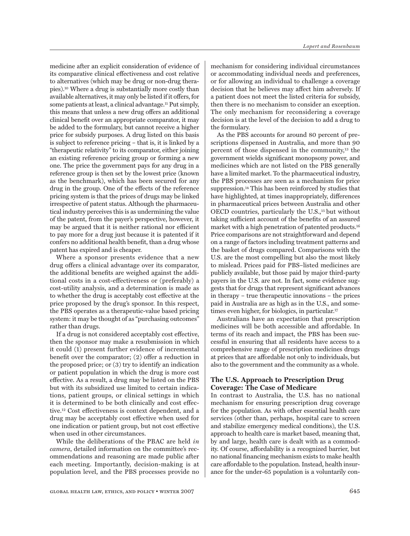medicine after an explicit consideration of evidence of its comparative clinical effectiveness and cost relative to alternatives (which may be drug or non-drug therapies).10 Where a drug is substantially more costly than available alternatives, it may only be listed if it offers, for some patients at least, a clinical advantage.<sup>11</sup> Put simply, this means that unless a new drug offers an additional clinical benefit over an appropriate comparator, it may be added to the formulary, but cannot receive a higher price for subsidy purposes. A drug listed on this basis is subject to reference pricing – that is, it is linked by a "therapeutic relativity" to its comparator, either joining an existing reference pricing group or forming a new one. The price the government pays for any drug in a reference group is then set by the lowest price (known as the benchmark), which has been secured for any drug in the group. One of the effects of the reference pricing system is that the prices of drugs may be linked irrespective of patent status. Although the pharmaceutical industry perceives this is as undermining the value of the patent, from the payer's perspective, however, it may be argued that it is neither rational nor efficient to pay more for a drug just because it is patented if it confers no additional health benefit, than a drug whose patent has expired and is cheaper.

Where a sponsor presents evidence that a new drug offers a clinical advantage over its comparator, the additional benefits are weighed against the additional costs in a cost-effectiveness or (preferably) a cost-utility analysis, and a determination is made as to whether the drug is acceptably cost effective at the price proposed by the drug's sponsor. In this respect, the PBS operates as a therapeutic-value based pricing system: it may be thought of as "purchasing outcomes" rather than drugs.

If a drug is not considered acceptably cost effective, then the sponsor may make a resubmission in which it could (1) present further evidence of incremental benefit over the comparator; (2) offer a reduction in the proposed price; or (3) try to identify an indication or patient population in which the drug is more cost effective. As a result, a drug may be listed on the PBS but with its subsidized use limited to certain indications, patient groups, or clinical settings in which it is determined to be both clinically and cost effective.12 Cost effectiveness is context dependent, and a drug may be acceptably cost effective when used for one indication or patient group, but not cost effective when used in other circumstances.

While the deliberations of the PBAC are held *in camera*, detailed information on the committee's recommendations and reasoning are made public after each meeting. Importantly, decision-making is at population level, and the PBS processes provide no

mechanism for considering individual circumstances or accommodating individual needs and preferences, or for allowing an individual to challenge a coverage decision that he believes may affect him adversely. If a patient does not meet the listed criteria for subsidy, then there is no mechanism to consider an exception. The only mechanism for reconsidering a coverage decision is at the level of the decision to add a drug to the formulary.

As the PBS accounts for around 80 percent of prescriptions dispensed in Australia, and more than 90 percent of those dispensed in the community,13 the government wields significant monopsony power, and medicines which are not listed on the PBS generally have a limited market. To the pharmaceutical industry, the PBS processes are seen as a mechanism for price suppression.14 This has been reinforced by studies that have highlighted, at times inappropriately, differences in pharmaceutical prices between Australia and other OECD countries, particularly the U.S.,<sup>15</sup> but without taking sufficient account of the benefits of an assured market with a high penetration of patented products.16 Price comparisons are not straightforward and depend on a range of factors including treatment patterns and the basket of drugs compared. Comparisons with the U.S. are the most compelling but also the most likely to mislead. Prices paid for PBS–listed medicines are publicly available, but those paid by major third-party payers in the U.S. are not. In fact, some evidence suggests that for drugs that represent significant advances in therapy – true therapeutic innovations – the prices paid in Australia are as high as in the U.S., and sometimes even higher, for biologics, in particular.<sup>17</sup>

Australians have an expectation that prescription medicines will be both accessible and affordable. In terms of its reach and impact, the PBS has been successful in ensuring that all residents have access to a comprehensive range of prescription medicines drugs at prices that are affordable not only to individuals, but also to the government and the community as a whole.

# **The U.S. Approach to Prescription Drug Coverage: The Case of Medicare**

In contrast to Australia, the U.S. has no national mechanism for ensuring prescription drug coverage for the population. As with other essential health care services (other than, perhaps, hospital care to screen and stabilize emergency medical conditions), the U.S. approach to health care is market based, meaning that, by and large, health care is dealt with as a commodity. Of course, affordability is a recognized barrier, but no national financing mechanism exists to make health care affordable to the population. Instead, health insurance for the under-65 population is a voluntarily con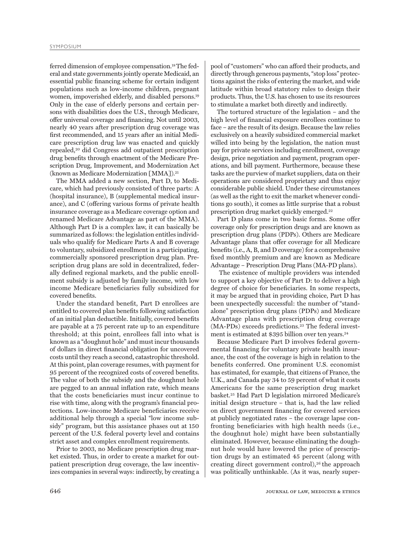ferred dimension of employee compensation.18 The federal and state governments jointly operate Medicaid, an essential public financing scheme for certain indigent populations such as low-income children, pregnant women, impoverished elderly, and disabled persons.19 Only in the case of elderly persons and certain persons with disabilities does the U.S., through Medicare, offer universal coverage and financing. Not until 2003, nearly 40 years after prescription drug coverage was first recommended, and 15 years after an initial Medicare prescription drug law was enacted and quickly repealed,20 did Congress add outpatient prescription drug benefits through enactment of the Medicare Prescription Drug, Improvement, and Modernization Act (known as Medicare Modernization [MMA]).21

The MMA added a new section, Part D, to Medicare, which had previously consisted of three parts: A (hospital insurance), B (supplemental medical insurance), and C (offering various forms of private health insurance coverage as a Medicare coverage option and renamed Medicare Advantage as part of the MMA). Although Part D is a complex law, it can basically be summarized as follows: the legislation entitles individuals who qualify for Medicare Parts A and B coverage to voluntary, subsidized enrollment in a participating, commercially sponsored prescription drug plan. Prescription drug plans are sold in decentralized, federally defined regional markets, and the public enrollment subsidy is adjusted by family income, with low income Medicare beneficiaries fully subsidized for covered benefits.

Under the standard benefit, Part D enrollees are entitled to covered plan benefits following satisfaction of an initial plan deductible. Initially, covered benefits are payable at a 75 percent rate up to an expenditure threshold; at this point, enrollees fall into what is known as a "doughnut hole" and must incur thousands of dollars in direct financial obligation for uncovered costs until they reach a second, catastrophic threshold. At this point, plan coverage resumes, with payment for 95 percent of the recognized costs of covered benefits. The value of both the subsidy and the doughnut hole are pegged to an annual inflation rate, which means that the costs beneficiaries must incur continue to rise with time, along with the program's financial protections. Low-income Medicare beneficiaries receive additional help through a special "low income subsidy" program, but this assistance phases out at 150 percent of the U.S. federal poverty level and contains strict asset and complex enrollment requirements.

Prior to 2003, no Medicare prescription drug market existed. Thus, in order to create a market for outpatient prescription drug coverage, the law incentivizes companies in several ways: indirectly, by creating a pool of "customers" who can afford their products, and directly through generous payments, "stop loss" protections against the risks of entering the market, and wide latitude within broad statutory rules to design their products. Thus, the U.S. has chosen to use its resources to stimulate a market both directly and indirectly.

The tortured structure of the legislation – and the high level of financial exposure enrollees continue to face – are the result of its design. Because the law relies exclusively on a heavily subsidized commercial market willed into being by the legislation, the nation must pay for private services including enrollment, coverage design, price negotiation and payment, program operations, and bill payment. Furthermore, because these tasks are the purview of market suppliers, data on their operations are considered proprietary and thus enjoy considerable public shield. Under these circumstances (as well as the right to exit the market whenever conditions go south), it comes as little surprise that a robust prescription drug market quickly emerged.22

Part D plans come in two basic forms. Some offer coverage only for prescription drugs and are known as prescription drug plans (PDPs). Others are Medicare Advantage plans that offer coverage for all Medicare benefits (i.e., A, B, and D coverage) for a comprehensive fixed monthly premium and are known as Medicare Advantage – Prescription Drug Plans (MA-PD plans).

 The existence of multiple providers was intended to support a key objective of Part D: to deliver a high degree of choice for beneficiaries. In some respects, it may be argued that in providing choice, Part D has been unexpectedly successful: the number of "standalone" prescription drug plans (PDPs) and Medicare Advantage plans with prescription drug coverage (MA-PDs) exceeds predictions.23 The federal investment is estimated at \$395 billion over ten years.24

Because Medicare Part D involves federal governmental financing for voluntary private health insurance, the cost of the coverage is high in relation to the benefits conferred. One prominent U.S. economist has estimated, for example, that citizens of France, the U.K., and Canada pay 34 to 59 percent of what it costs Americans for the same prescription drug market basket.25 Had Part D legislation mirrored Medicare's initial design structure – that is, had the law relied on direct government financing for covered services at publicly negotiated rates – the coverage lapse confronting beneficiaries with high health needs (i.e., the doughnut hole) might have been substantially eliminated. However, because eliminating the doughnut hole would have lowered the price of prescription drugs by an estimated 45 percent (along with creating direct government control),<sup>26</sup> the approach was politically unthinkable. (As it was, nearly super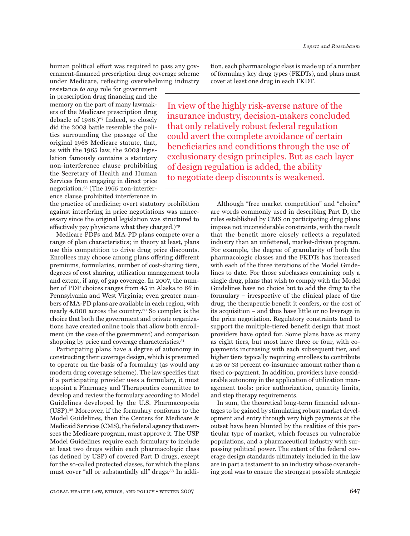human political effort was required to pass any government-financed prescription drug coverage scheme under Medicare, reflecting overwhelming industry

resistance *to any* role for government in prescription drug financing and the memory on the part of many lawmakers of the Medicare prescription drug debacle of 1988.)<sup>27</sup> Indeed, so closely did the 2003 battle resemble the politics surrounding the passage of the original 1965 Medicare statute, that, as with the 1965 law, the 2003 legislation famously contains a statutory non-interference clause prohibiting the Secretary of Health and Human Services from engaging in direct price negotiation.28 (The 1965 non-interference clause prohibited interference in

the practice of medicine; overt statutory prohibition against interfering in price negotiations was unnecessary since the original legislation was structured to effectively pay physicians what they charged.)<sup>29</sup>

Medicare PDPs and MA-PD plans compete over a range of plan characteristics; in theory at least, plans use this competition to drive drug price discounts. Enrollees may choose among plans offering different premiums, formularies, number of cost-sharing tiers, degrees of cost sharing, utilization management tools and extent, if any, of gap coverage. In 2007, the number of PDP choices ranges from 45 in Alaska to 66 in Pennsylvania and West Virginia; even greater numbers of MA-PD plans are available in each region, with nearly 4,000 across the country.30 So complex is the choice that both the government and private organizations have created online tools that allow both enrollment (in the case of the government) and comparison shopping by price and coverage characteristics.<sup>31</sup>

Participating plans have a degree of autonomy in constructing their coverage design, which is presumed to operate on the basis of a formulary (as would any modern drug coverage scheme). The law specifies that if a participating provider uses a formulary, it must appoint a Pharmacy and Therapeutics committee to develop and review the formulary according to Model Guidelines developed by the U.S. Pharmacopoeia (USP).32 Moreover, if the formulary conforms to the Model Guidelines, then the Centers for Medicare & Medicaid Services (CMS), the federal agency that oversees the Medicare program, must approve it. The USP Model Guidelines require each formulary to include at least two drugs within each pharmacologic class (as defined by USP) of covered Part D drugs, except for the so-called protected classes, for which the plans must cover "all or substantially all" drugs.33 In addition, each pharmacologic class is made up of a number of formulary key drug types (FKDTs), and plans must cover at least one drug in each FKDT.

In view of the highly risk-averse nature of the insurance industry, decision-makers concluded that only relatively robust federal regulation could avert the complete avoidance of certain beneficiaries and conditions through the use of exclusionary design principles. But as each layer of design regulation is added, the ability to negotiate deep discounts is weakened.

> Although "free market competition" and "choice" are words commonly used in describing Part D, the rules established by CMS on participating drug plans impose not inconsiderable constraints, with the result that the benefit more closely reflects a regulated industry than an unfettered, market-driven program. For example, the degree of granularity of both the pharmacologic classes and the FKDTs has increased with each of the three iterations of the Model Guidelines to date. For those subclasses containing only a single drug, plans that wish to comply with the Model Guidelines have no choice but to add the drug to the formulary – irrespective of the clinical place of the drug, the therapeutic benefit it confers, or the cost of its acquisition – and thus have little or no leverage in the price negotiation. Regulatory constraints tend to support the multiple-tiered benefit design that most providers have opted for. Some plans have as many as eight tiers, but most have three or four, with copayments increasing with each subsequent tier, and higher tiers typically requiring enrollees to contribute a 25 or 33 percent co-insurance amount rather than a fixed co-payment. In addition, providers have considerable autonomy in the application of utilization management tools: prior authorization, quantity limits, and step therapy requirements.

> In sum, the theoretical long-term financial advantages to be gained by stimulating robust market development and entry through very high payments at the outset have been blunted by the realities of this particular type of market, which focuses on vulnerable populations, and a pharmaceutical industry with surpassing political power. The extent of the federal coverage design standards ultimately included in the law are in part a testament to an industry whose overarching goal was to ensure the strongest possible strategic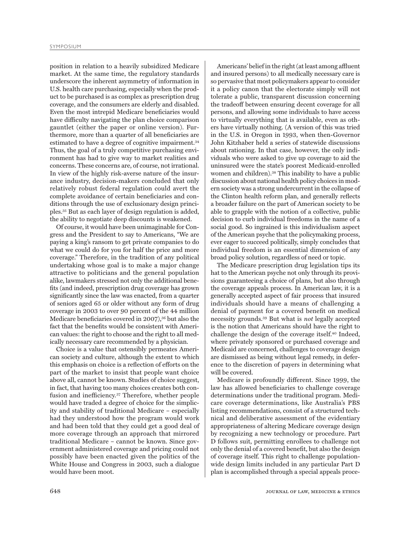position in relation to a heavily subsidized Medicare market. At the same time, the regulatory standards underscore the inherent asymmetry of information in U.S. health care purchasing, especially when the product to be purchased is as complex as prescription drug coverage, and the consumers are elderly and disabled. Even the most intrepid Medicare beneficiaries would have difficulty navigating the plan choice comparison gauntlet (either the paper or online version). Furthermore, more than a quarter of all beneficiaries are estimated to have a degree of cognitive impairment.34 Thus, the goal of a truly competitive purchasing environment has had to give way to market realities and concerns. These concerns are, of course, not irrational. In view of the highly risk-averse nature of the insurance industry, decision-makers concluded that only relatively robust federal regulation could avert the complete avoidance of certain beneficiaries and conditions through the use of exclusionary design principles.35 But as each layer of design regulation is added, the ability to negotiate deep discounts is weakened.

Of course, it would have been unimaginable for Congress and the President to say to Americans, "We are paying a king's ransom to get private companies to do what we could do for you for half the price and more coverage." Therefore, in the tradition of any political undertaking whose goal is to make a major change attractive to politicians and the general population alike, lawmakers stressed not only the additional benefits (and indeed, prescription drug coverage has grown significantly since the law was enacted, from a quarter of seniors aged 65 or older without any form of drug coverage in 2003 to over 90 percent of the 44 million Medicare beneficiaries covered in 2007),<sup>36</sup> but also the fact that the benefits would be consistent with American values: the right to choose and the right to all medically necessary care recommended by a physician.

Choice is a value that ostensibly permeates American society and culture, although the extent to which this emphasis on choice is a reflection of efforts on the part of the market to insist that people want choice above all, cannot be known. Studies of choice suggest, in fact, that having too many choices creates both confusion and inefficiency.37 Therefore, whether people would have traded a degree of choice for the simplicity and stability of traditional Medicare – especially had they understood how the program would work and had been told that they could get a good deal of more coverage through an approach that mirrored traditional Medicare – cannot be known. Since government administered coverage and pricing could not possibly have been enacted given the politics of the White House and Congress in 2003, such a dialogue would have been moot.

Americans' belief in the right (at least among affluent and insured persons) to all medically necessary care is so pervasive that most policymakers appear to consider it a policy canon that the electorate simply will not tolerate a public, transparent discussion concerning the tradeoff between ensuring decent coverage for all persons, and allowing some individuals to have access to virtually everything that is available, even as others have virtually nothing. (A version of this was tried in the U.S. in Oregon in 1993, when then-Governor John Kitzhaber held a series of statewide discussions about rationing. In that case, however, the only individuals who were asked to give up coverage to aid the uninsured were the state's poorest Medicaid-enrolled women and children).38 This inability to have a public discussion about national health policy choices in modern society was a strong undercurrent in the collapse of the Clinton health reform plan, and generally reflects a broader failure on the part of American society to be able to grapple with the notion of a collective, public decision to curb individual freedoms in the name of a social good. So ingrained is this individualism aspect of the American psyche that the policymaking process, ever eager to succeed politically, simply concludes that individual freedom is an essential dimension of any broad policy solution, regardless of need or topic.

The Medicare prescription drug legislation tips its hat to the American psyche not only through its provisions guaranteeing a choice of plans, but also through the coverage appeals process. In American law, it is a generally accepted aspect of fair process that insured individuals should have a means of challenging a denial of payment for a covered benefit on medical necessity grounds.39 But what is *not* legally accepted is the notion that Americans should have the right to challenge the design of the coverage itself.40 Indeed, where privately sponsored or purchased coverage and Medicaid are concerned, challenges to coverage design are dismissed as being without legal remedy, in deference to the discretion of payers in determining what will be covered.

Medicare is profoundly different. Since 1999, the law has allowed beneficiaries to challenge coverage determinations under the traditional program. Medicare coverage determinations, like Australia's PBS listing recommendations, consist of a structured technical and deliberative assessment of the evidentiary appropriateness of altering Medicare coverage design by recognizing a new technology or procedure. Part D follows suit, permitting enrollees to challenge not only the denial of a covered benefit, but also the design of coverage itself. This right to challenge populationwide design limits included in any particular Part D plan is accomplished through a special appeals proce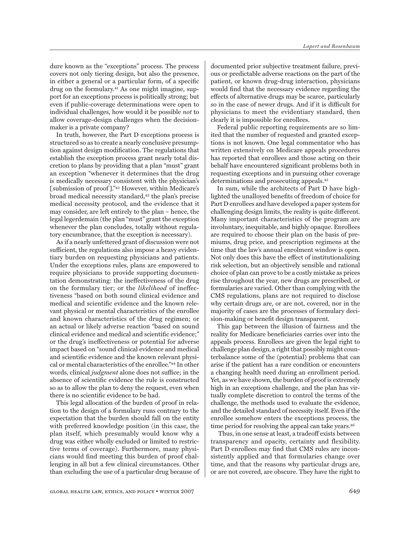dure known as the "exceptions" process. The process covers not only tiering design, but also the presence, in either a general or a particular form, of a specific drug on the formulary.41 As one might imagine, support for an exceptions process is politically strong; but even if public-coverage determinations were open to individual challenges, how would it be possible *not* to allow coverage-design challenges when the decisionmaker is a private company?

In truth, however, the Part D exceptions process is structured so as to create a nearly conclusive presumption against design modification. The regulations that establish the exception process grant nearly total discretion to plans by providing that a plan "must" grant an exception "whenever it determines that the drug is medically necessary consistent with the physician's [submission of proof]."42 However, within Medicare's broad medical necessity standard,<sup>43</sup> the plan's precise medical necessity protocol, and the evidence that it may consider, are left entirely to the plan – hence, the legal legerdemain (the plan "must" grant the exception whenever the plan concludes, totally without regulatory encumbrance, that the exception is necessary).

As if a nearly unfettered grant of discussion were not sufficient, the regulations also impose a heavy evidentiary burden on requesting physicians and patients. Under the exceptions rules, plans are empowered to require physicians to provide supporting documentation demonstrating: the ineffectiveness of the drug on the formulary tier; or the *likelihood* of ineffectiveness "based on both sound clinical evidence and medical and scientific evidence and the known relevant physical or mental characteristics of the enrollee and known characteristics of the drug regimen; or an actual or likely adverse reaction "based on sound clinical evidence and medical and scientific evidence;" or the drug's ineffectiveness or potential for adverse impact based on "sound clinical evidence and medical and scientific evidence and the known relevant physical or mental characteristics of the enrollee."44 In other words, clinical *judgment* alone does not suffice; in the absence of scientific evidence the rule is constructed so as to allow the plan to deny the request, even when there is no scientific evidence to be had.

This legal allocation of the burden of proof in relation to the design of a formulary runs contrary to the expectation that the burden should fall on the entity with preferred knowledge position (in this case, the plan itself, which presumably would know why a drug was either wholly excluded or limited to restrictive terms of coverage). Furthermore, many physicians would find meeting this burden of proof challenging in all but a few clinical circumstances. Other than excluding the use of a particular drug because of documented prior subjective treatment failure, previous or predictable adverse reactions on the part of the patient, or known drug-drug interaction, physicians would find that the necessary evidence regarding the effects of alternative drugs may be scarce, particularly so in the case of newer drugs. And if it is difficult for physicians to meet the evidentiary standard, then clearly it is impossible for enrollees.

Federal public reporting requirements are so limited that the number of requested and granted exceptions is not known. One legal commentator who has written extensively on Medicare appeals procedures has reported that enrollees and those acting on their behalf have encountered significant problems both in requesting exceptions and in pursuing other coverage determinations and prosecuting appeals.45

In sum, while the architects of Part D have highlighted the unalloyed benefits of freedom of choice for Part D enrollees and have developed a paper system for challenging design limits, the reality is quite different. Many important characteristics of the program are involuntary, inequitable, and highly opaque. Enrollees are required to choose their plan on the basis of premiums, drug price, and prescription regimens at the time that the law's annual enrolment window is open. Not only does this have the effect of institutionalizing risk selection, but an objectively sensible and rational choice of plan can prove to be a costly mistake as prices rise throughout the year, new drugs are prescribed, or formularies are varied. Other than complying with the CMS regulations, plans are not required to disclose why certain drugs are, or are not, covered, nor in the majority of cases are the processes of formulary decision-making or benefit design transparent.

This gap between the illusion of fairness and the reality for Medicare beneficiaries carries over into the appeals process. Enrollees are given the legal right to challenge plan design, a right that possibly might counterbalance some of the (potential) problems that can arise if the patient has a rare condition or encounters a changing health need during an enrollment period. Yet, as we have shown, the burden of proof is extremely high in an exceptions challenge, and the plan has virtually complete discretion to control the terms of the challenge, the methods used to evaluate the evidence, and the detailed standard of necessity itself. Even if the enrollee somehow enters the exceptions process, the time period for resolving the appeal can take years.<sup>46</sup>

 Thus, in one sense at least, a tradeoff exists between transparency and opacity, certainty and flexibility. Part D enrollees may find that CMS rules are inconsistently applied and that formularies change over time, and that the reasons why particular drugs are, or are not covered, are obscure. They have the right to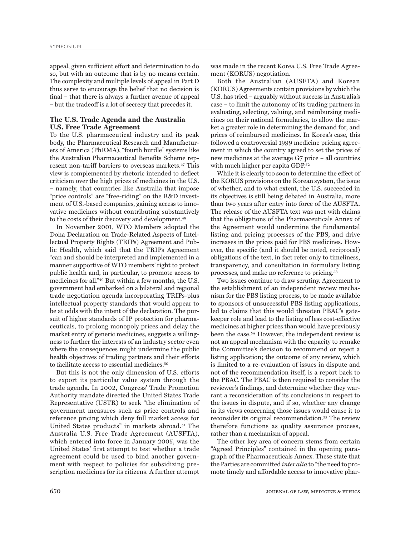appeal, given sufficient effort and determination to do so, but with an outcome that is by no means certain. The complexity and multiple levels of appeal in Part D thus serve to encourage the belief that no decision is final – that there is always a further avenue of appeal – but the tradeoff is a lot of secrecy that precedes it.

## **The U.S. Trade Agenda and the Australia U.S. Free Trade Agreement**

To the U.S. pharmaceutical industry and its peak body, the Pharmaceutical Research and Manufacturers of America (PhRMA), "fourth hurdle" systems like the Australian Pharmaceutical Benefits Scheme represent non-tariff barriers to overseas markets.47 This view is complemented by rhetoric intended to deflect criticism over the high prices of medicines in the U.S. – namely, that countries like Australia that impose "price controls" are "free-riding" on the R&D investment of U.S.-based companies, gaining access to innovative medicines without contributing substantively to the costs of their discovery and development.<sup>48</sup>

In November 2001, WTO Members adopted the Doha Declaration on Trade-Related Aspects of Intellectual Property Rights (TRIPs) Agreement and Public Health, which said that the TRIPs Agreement "can and should be interpreted and implemented in a manner supportive of WTO members' right to protect public health and, in particular, to promote access to medicines for all."49 But within a few months, the U.S. government had embarked on a bilateral and regional trade negotiation agenda incorporating TRIPs-plus intellectual property standards that would appear to be at odds with the intent of the declaration. The pursuit of higher standards of IP protection for pharmaceuticals, to prolong monopoly prices and delay the market entry of generic medicines, suggests a willingness to further the interests of an industry sector even where the consequences might undermine the public health objectives of trading partners and their efforts to facilitate access to essential medicines.<sup>50</sup>

But this is not the only dimension of U.S. efforts to export its particular value system through the trade agenda. In 2002, Congress' Trade Promotion Authority mandate directed the United States Trade Representative (USTR) to seek "the elimination of government measures such as price controls and reference pricing which deny full market access for United States products" in markets abroad.51 The Australia U.S. Free Trade Agreement (AUSFTA), which entered into force in January 2005, was the United States' first attempt to test whether a trade agreement could be used to bind another government with respect to policies for subsidizing prescription medicines for its citizens. A further attempt

was made in the recent Korea U.S. Free Trade Agreement (KORUS) negotiation.

Both the Australian (AUSFTA) and Korean (KORUS) Agreements contain provisions by which the U.S. has tried – arguably without success in Australia's case – to limit the autonomy of its trading partners in evaluating, selecting, valuing, and reimbursing medicines on their national formularies, to allow the market a greater role in determining the demand for, and prices of reimbursed medicines. In Korea's case, this followed a controversial 1999 medicine pricing agreement in which the country agreed to set the prices of new medicines at the average G7 price – all countries with much higher per capita GDP.<sup>52</sup>

While it is clearly too soon to determine the effect of the KORUS provisions on the Korean system, the issue of whether, and to what extent, the U.S. succeeded in its objectives is still being debated in Australia, more than two years after entry into force of the AUSFTA. The release of the AUSFTA text was met with claims that the obligations of the Pharmaceuticals Annex of the Agreement would undermine the fundamental listing and pricing processes of the PBS, and drive increases in the prices paid for PBS medicines. However, the specific (and it should be noted, reciprocal) obligations of the text, in fact refer only to timeliness, transparency, and consultation in formulary listing processes, and make no reference to pricing.53

Two issues continue to draw scrutiny. Agreement to the establishment of an independent review mechanism for the PBS listing process, to be made available to sponsors of unsuccessful PBS listing applications, led to claims that this would threaten PBAC's gatekeeper role and lead to the listing of less cost-effective medicines at higher prices than would have previously been the case.54 However, the independent review is not an appeal mechanism with the capacity to remake the Committee's decision to recommend or reject a listing application; the outcome of any review, which is limited to a re-evaluation of issues in dispute and not of the recommendation itself, is a report back to the PBAC. The PBAC is then required to consider the reviewer's findings, and determine whether they warrant a reconsideration of its conclusions in respect to the issues in dispute, and if so, whether any change in its views concerning those issues would cause it to reconsider its original recommendation.<sup>55</sup> The review therefore functions as quality assurance process, rather than a mechanism of appeal.

The other key area of concern stems from certain "Agreed Principles" contained in the opening paragraph of the Pharmaceuticals Annex. These state that the Parties are committed *inter alia* to "the need to promote timely and affordable access to innovative phar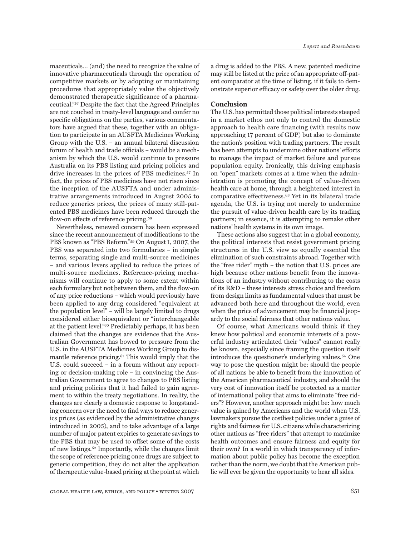maceuticals… (and) the need to recognize the value of innovative pharmaceuticals through the operation of competitive markets or by adopting or maintaining procedures that appropriately value the objectively demonstrated therapeutic significance of a pharmaceutical."56 Despite the fact that the Agreed Principles are not couched in treaty-level language and confer no specific obligations on the parties, various commentators have argued that these, together with an obligation to participate in an AUSFTA Medicines Working Group with the U.S. – an annual bilateral discussion forum of health and trade officials – would be a mechanism by which the U.S. would continue to pressure Australia on its PBS listing and pricing policies and drive increases in the prices of PBS medicines.57 In fact, the prices of PBS medicines have not risen since the inception of the AUSFTA and under administrative arrangements introduced in August 2005 to reduce generics prices, the prices of many still-patented PBS medicines have been reduced through the flow-on effects of reference pricing.<sup>58</sup>

Nevertheless, renewed concern has been expressed since the recent announcement of modifications to the PBS known as "PBS Reform."59 On August 1, 2007, the PBS was separated into two formularies – in simple terms, separating single and multi-source medicines – and various levers applied to reduce the prices of multi-source medicines. Reference-pricing mechanisms will continue to apply to some extent within each formulary but not between them, and the flow-on of any price reductions – which would previously have been applied to any drug considered "equivalent at the population level" – will be largely limited to drugs considered either bioequivalent or "interchangeable at the patient level."60 Predictably perhaps, it has been claimed that the changes are evidence that the Australian Government has bowed to pressure from the U.S. in the AUSFTA Medicines Working Group to dismantle reference pricing.<sup>61</sup> This would imply that the U.S. could succeed – in a forum without any reporting or decision-making role – in convincing the Australian Government to agree to changes to PBS listing and pricing policies that it had failed to gain agreement to within the treaty negotiations. In reality, the changes are clearly a domestic response to longstanding concern over the need to find ways to reduce generics prices (as evidenced by the administrative changes introduced in 2005), and to take advantage of a large number of major patent expiries to generate savings to the PBS that may be used to offset some of the costs of new listings.62 Importantly, while the changes limit the scope of reference pricing once drugs are subject to generic competition, they do not alter the application of therapeutic value-based pricing at the point at which

a drug is added to the PBS. A new, patented medicine may still be listed at the price of an appropriate off-patent comparator at the time of listing, if it fails to demonstrate superior efficacy or safety over the older drug.

## **Conclusion**

The U.S. has permitted those political interests steeped in a market ethos not only to control the domestic approach to health care financing (with results now approaching 17 percent of GDP) but also to dominate the nation's position with trading partners. The result has been attempts to undermine other nations' efforts to manage the impact of market failure and pursue population equity. Ironically, this driving emphasis on "open" markets comes at a time when the administration is promoting the concept of value-driven health care at home, through a heightened interest in comparative effectiveness.63 Yet in its bilateral trade agenda, the U.S. is trying not merely to undermine the pursuit of value-driven health care by its trading partners; in essence, it is attempting to remake other nations' health systems in its own image.

These actions also suggest that in a global economy, the political interests that resist government pricing structures in the U.S. view as equally essential the elimination of such constraints abroad. Together with the "free rider" myth – the notion that U.S. prices are high because other nations benefit from the innovations of an industry without contributing to the costs of its R&D – these interests stress choice and freedom from design limits as fundamental values that must be advanced both here and throughout the world, even when the price of advancement may be financial jeopardy to the social fairness that other nations value.

Of course, what Americans would think if they knew how political and economic interests of a powerful industry articulated their "values" cannot really be known, especially since framing the question itself introduces the questioner's underlying values.64 One way to pose the question might be: should the people of all nations be able to benefit from the innovation of the American pharmaceutical industry, and should the very cost of innovation itself be protected as a matter of international policy that aims to eliminate "free riders"? However, another approach might be: how much value is gained by Americans and the world when U.S. lawmakers pursue the costliest policies under a guise of rights and fairness for U.S. citizens while characterizing other nations as "free riders" that attempt to maximize health outcomes and ensure fairness and equity for their own? In a world in which transparency of information about public policy has become the exception rather than the norm, we doubt that the American public will ever be given the opportunity to hear all sides.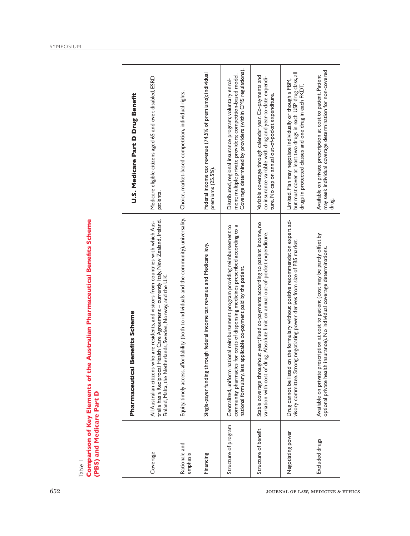**Comparison of Key Elements of the Australian Pharmaceutical Benefits Scheme**<br>(PBS) and Medicare Part D **Comparison of Key Elements of the Australian Pharmaceutical Benefits Scheme (PBS) and Medicare Part D**

|                           | <b>Pharmaceutical Benefits Scheme</b>                                                                                                                                                                                                                | U.S. Medicare Part D Drug Benefit                                                                                                                                                    |
|---------------------------|------------------------------------------------------------------------------------------------------------------------------------------------------------------------------------------------------------------------------------------------------|--------------------------------------------------------------------------------------------------------------------------------------------------------------------------------------|
| Coverage                  | Care Agreement – currently Italy, New Zealand, Ireland,<br>All Australian citizens who are residents, and visitors from countries with which Aus-<br>Finland, Malta, the Netherlands, Sweden, Norway, and the U.K.<br>tralia has a Reciprocal Health | Medicare eligible citizens aged 65 and over, disabled, ESRD<br>patients.                                                                                                             |
| Rationale and<br>emphasis | Equity, timely access, affordability (both to individuals and the community), universality.                                                                                                                                                          | Choice, market-based competition, individual rights.                                                                                                                                 |
| Financing                 | federal income tax revenue and Medicare levy.<br>Single-payer funding through                                                                                                                                                                        | Federal income tax revenue (74.5% of premiums); individual<br>premiums (25.5%).                                                                                                      |
| Structure of program      | reimbursement program providing reimbursement to<br>community pharmacies for costs of dispensing medicines prescribed according to a<br>national formulary, less applicable co-payment paid by the patient.<br>Centralized, uniform national         | Coverage determined by providers (within CMS regulations).<br>ment; multiple private providers; competition-based model<br>Distributed, regional insurance program; voluntary enrol- |
| Structure of benefit      | Stable coverage throughout year; fixed co-payments according to patient income, no<br>variation with cost of drug. Absolute limit on annual out-of-pocket expenditure.                                                                               | Variable coverage through calendar year. Co-payments and<br>co-insurance variable with drug and year-to-date expendi-<br>ture. No cap on annual out-of-pocket expenditure.           |
| Negotiating power         | Drug cannot be listed on the formulary without positive recommendation expert ad-<br>visory committee. Strong negotiating power derives from size of PBS market.                                                                                     | but must cover at least two drugs in each USP drug class, all<br>Limited. Plan may negotiate individually or though a PBM,<br>drugs in protected classes and one drug in each FKDT.  |
| Excluded drugs            | Available on private prescription at cost to patient (cost may be partly offset by<br>optional private health insurance). No individual coverage determinations.                                                                                     | may seek individual coverage determination for non-covered<br>Available on private prescription at cost to patient. Patient<br>drug.                                                 |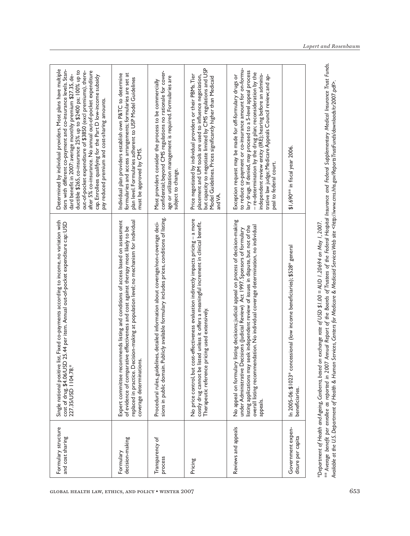| Expert committee recommends listing and conditions of access based on assessment<br>replaced in practice. Decision-making at population level; no mechanism for individual<br>of evidence of comparative effectiveness and cost against therapy most likely to be                                                                                           | formularies and access arrangements; formularies are set at<br>Individual plan providers establish own P&TC to determine<br>plan level. Formularies adherent to USP Model Guidelines                                                                                                                                                                                                                           |
|-------------------------------------------------------------------------------------------------------------------------------------------------------------------------------------------------------------------------------------------------------------------------------------------------------------------------------------------------------------|----------------------------------------------------------------------------------------------------------------------------------------------------------------------------------------------------------------------------------------------------------------------------------------------------------------------------------------------------------------------------------------------------------------|
|                                                                                                                                                                                                                                                                                                                                                             | must be approved by CMS.                                                                                                                                                                                                                                                                                                                                                                                       |
| sions in public domain. Publicly available formulary includes prices, conditions of listing.<br>Procedural rules, guidelines, detailed information about coverage/non-coverage deci-                                                                                                                                                                        | confidential; beyond CMS regulations no rationale for cover-<br>age or utilization management is required. Formularies are<br>Most providers consider the process to be commercially<br>subject to change.                                                                                                                                                                                                     |
| No price control, but cost-effectiveness evaluation indirectly impacts pricing - a more<br>costly drug cannot be listed unless it offers a meaningful increment in clinical benefit.<br>Therapeutic reference pricing used extensively.                                                                                                                     | but capacity to negotiate limited by CMS regulations and USP<br>Price negotiated by individual providers or their PBMs. Tier<br>placement and UM tools are used to influence negotiation,<br>Model Guidelines. Prices significantly higher than Medicaid<br>and VA.                                                                                                                                            |
| No appeal on formulary listing decisions; judicial appeal on process of decision-making<br>overall listing recommendation. No individual coverage determination, no individual<br>listing applications may seek independent review of issues in dispute, but not of the<br>under Administrative Decisions (Judicial Review) Act 1997. Sponsors of formulary | to reduce co-payment or co-insurance amount for on-formu-<br>lary drugs. If denied, may proceed to a 5-level appeal process<br>- re-determination by the drug plan; reconsideration by the<br>independent review entity (IRE); hearing before an adminis-<br>Exception request may be made for off-formulary drugs or<br>trative law judge; Medicare Appeals Council review; and ap-<br>peal to federal court. |
| In 2005-06: \$1023* concessional (low income beneficiaries); \$528* general                                                                                                                                                                                                                                                                                 | \$1,690*** in fiscal year 2006.                                                                                                                                                                                                                                                                                                                                                                                |
|                                                                                                                                                                                                                                                                                                                                                             |                                                                                                                                                                                                                                                                                                                                                                                                                |

*\*Department of Health and Ageing, Canberra, based on exchange rate of USD \$1.00 = AUD 1.20694 on May 1, 2007.*

\*Department of Health and Ageing, Canberra, based on exchange rate of USD \$1.00 = AUD 1.20694 on May 1,2007.<br>\*\* Average benefit per enrollee as reported in 2007 Annual Report of the Boards of Trustees of the Federal Insura *Average benefit per enrollee as reported in 2007 Annual Report of the Boards of Trustees of the Federal Hospital Insurance and Federal Supplementary Medical Insurance Trust Funds. Available at the U.S.Department of Health & Human Services, Centers for Medicare & Medicaid Services Web site <http://www.cms.hhs.gov/ReportsTrustFunds/downloads/*tr2007.pdf>.

*Lopert and Rosenbaum*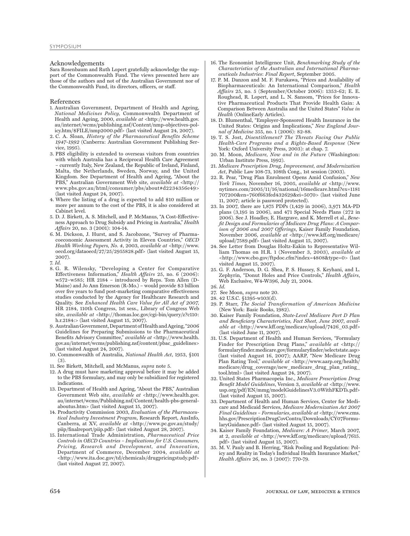#### Acknowledgements

Sara Rosenbaum and Ruth Lopert gratefully acknowledge the support of the Commonwealth Fund. The views presented here are those of the authors and not of the Australian Government nor of the Commonwealth Fund, its directors, officers, or staff.

#### References

- 1. Australian Government, Department of Health and Ageing, *National Medicines Policy,* Commonwealth Department of Health and Ageing, 2000, *available at* <http://www.health.gov. au/internet/wcms/publishing.nsf/Content/nmp-objectives-policy.htm/\$FILE/nmp2000.pdf> (last visited August 24, 2007).
- 2. C. A. Sloan, *History of the Pharmaceutical Benefits Scheme 1947–1992* (Canberra: Australian Government Publishing Service, 1995).
- 3. PBS eligibility is extended to overseas visitors from countries with which Australia has a Reciprocal Health Care Agreement – currently Italy, New Zealand, the Republic of Ireland, Finland, Malta, the Netherlands, Sweden, Norway, and the United Kingdom. See Department of Health and Ageing, "About the PBS," Australian Government Web site, *available at* <http:// www.pbs.gov.au/html/consumer/pbs/about#d2234356e49> (last visited August 24, 2007).
- 4. Where the listing of a drug is expected to add \$10 million or more per annum to the cost of the PBS, it is also considered at Cabinet level.
- 5. D. J. Birkett, A. S. Mitchell, and P. McManus, "A Cost-Effectiveness Approach to Drug Subsidy and Pricing in Australia," *Health Affairs* 20, no. 3 **(**2001): 104-14.
- 6. M. Dickson, J. Hurst, and S. Jacobzone, "Survey of Pharmacoeconomic Assessment Activity in Eleven Countries," *OECD Health Working Papers, No. 4*, 2003, *available at* <http://www. oecd.org/dataoecd/27/25/2955828.pdf> (last visited August 15, 2007).
- 7. *Id.*
- 8. G. R. Wilensky, "Developing a Center for Comparative Effectiveness Information," *Health Affairs* 25, no. 6 (2006): w572–w585; HR 2184 – introduced by Reps. Tom Allen (D-Maine) and Jo Ann Emerson (R-Mo.) – would provide \$3 billion over five years to fund post-marketing comparative effectiveness studies conducted by the Agency for Healthcare Research and Quality. See *Enhanced Health Care Value for All Act of 2007,* HR 2184, 110th Congress, 1st sess., Library of Congress Web site, *available at* <http://thomas.loc.gov/cgi-bin/query/z?c110: h.r.2184:> (last visited August 15, 2007).
- 9. Australian Government, Department of Health and Ageing, "2006 Guidelines for Preparing Submissions to the Pharmaceutical Benefits Advisory Committee," *available at* <http://www.health. gov.au/internet/wcms/publishing.nsf/content/pbac\_guidelines> (last visited August 24, 2007).
- 10. Commonwealth of Australia, *National Health Act*, 1953, §101 (3).
- 11. See Birkett, Mitchell, and McManus, *supra* note 5.
- 12. A drug must have marketing approval before it may be added to the PBS formulary, and may only be subsidized for registered indications.
- 13. Department of Health and Ageing, "About the PBS," Australian Government Web site, *available at* <http://www.health.gov. au/internet/wcms/Publishing.nsf/Content/health-pbs-generalaboutus.htm> (last visited August 15, 2007).
- 14. Productivity Commission 2003, *Evaluation of the Pharmaceutical Industry Investment Program*, Research Report, AusInfo, Canberra, at XV, *available at* <http://www.pc.gov.au/study/ piip/finalreport/piip.pdf> (last visited August 28, 2007).
- 15. International Trade Administration, *Pharmaceutical Price Controls in OECD Countries – Implications for U.S. Consumers, Pricing, Research and Development, and Innovation*, Department of Commerce, December 2004, *available at* <http://www.ita.doc.gov/td/chemicals/drugpricingstudy.pdf> (last visited August 27, 2007).
- 16. The Economist Intelligence Unit, *Benchmarking Study of the Characteristics of the Australian and International Pharmaceuticals Industries*: *Final Report*, September 2005.
- 17. P. M. Danzon and M. F. Furukawa, "Prices and Availability of Biopharmaceuticals: An International Comparison," *Health Affairs* 25, no. 5 (September/October 2006): 1353-62; E. E. Roughead, R. Lopert, and L. N. Sansom, "Prices for Innovative Pharmaceutical Products That Provide Health Gain: A Comparison Between Australia and the United States" *Value in Health* (OnlineEarly Articles).
- 18. D. Blumenthal, "Employer-Sponsored Health Insurance in the United States: Origins and Implications," *New England Journal of Medicine* 355, no. 1 (2006): 82-88.
- 19. T. S. Jost, *Disentitlement? The Threats Facing Our Public Health-Care Programs and a Rights-Based Response* (New York: Oxford University Press, 2003): at chap. 7.
- 20. M. Moon, *Medicare, Now and in the Future* (Washington: Urban Institute Press, 1992).
- 21. *Medicare Prescription Drug, Improvement, and Modernization Act*, Public Law 108-73, 108th Cong., 1st session (2003).
- 22. R. Pear, "Drug Plan Enrolment Opens Amid Confusion," *New York Times*, November 16, 2005, *available at* <http://www. nytimes.com/2005/11/16/national/16medicare.html?ex=1181 707200&en=760f663fed432629&ei=5070> (last visited June 11, 2007; article is password protected).
- 23. In 2007, there are 1,875 PDPs (1,429 in 2006), 3,971 MA-PD plans (3,195 in 2006), and 471 Special Needs Plans (272 in 2006). See J. Hoadley, E. Hargrave, and K. Merrell et al., *Benefit Design and Formularies of Medicare Drug Plans: A Comparison of 2006 and 2007 Offerings*, Kaiser Family Foundation, November 2006, *available at* <http://www.kff.org/medicare/ upload/7589.pdf> (last visited August 15, 2007).
- 24. See Letter from Douglas Holtz-Eakin to Representative William Thomas on H.R. 1 (November 3, 2003), *available at* <http://www.cbo.gov/ftpdoc.cfm?index=4808&type=0> (last visited August 15, 2007).
- 25. G. F. Anderson, D. G. Shea, P. S. Hussey, S. Keyhani, and L. Zephyrin, "Donut Holes and Price Controls," *Health Affairs*, Web Exclusive, W4-W396, July 21, 2004.
- 26. *Id.*
- 27. See Moon, *supra* note 20.
- 28. 42 U.S.C. §1395-w103(d).
- 29. P. Starr, *The Social Transformation of American Medicine* (New York: Basic Books, 1982).
- 30. Kaiser Family Foundation, *State-Level Medicare Part D Plan and Beneficiary Characteristics, Fact Sheet, June 2007*, *available at* <http://www.kff.org/medicare/upload/7426\_03.pdf> (last visited June 11, 2007).
- 31. U.S. Department of Health and Human Services, "Formulary Finder for Prescription Drug Plans," *available at* <http:// formularyfinder.medicare.gov/formularyfinder/selectstate.asp> (last visited August 16, 2007); AARP, "New Medicare Drug Plan Rating Tool," *available at* <http://www.aarp.org/health/ medicare/drug\_coverage/new\_medicare\_drug\_plan\_rating\_ tool.html> (last visited August 24, 2007).
- 32. United States Pharmacopeia Inc., *Medicare Prescription Drug Benefit Model Guidelines*, Version 3, *available at* <http://www. usp.org/pdf/EN/mmg/modelGuidelinesV3.0WithFKDTs.pdf> (last visited August 15, 2007).
- 33. Department of Health and Human Services, Center for Medicare and Medicaid Services, *Medicare Modernization Act 2007 Final Guidelines – Formularies*, *available at* <http://www.cms. hhs.gov/PrescriptionDrugCovContra/Downloads/CY07FormularyGuidance.pdf> (last visited August 15, 2007).
- 34. Kaiser Family Foundation, *Medicare: A Primer*, March 2007, at 2, *available at* <http://www.kff.org/medicare/upload/7615. pdf> (last visited August 15, 2007).
- 35. M. V. Pauly and B. Herring, "Risk Pooling and Regulation: Policy and Reality in Today's Individual Health Insurance Market," *Health Affairs* 26, no. 3 (2007): 770-79.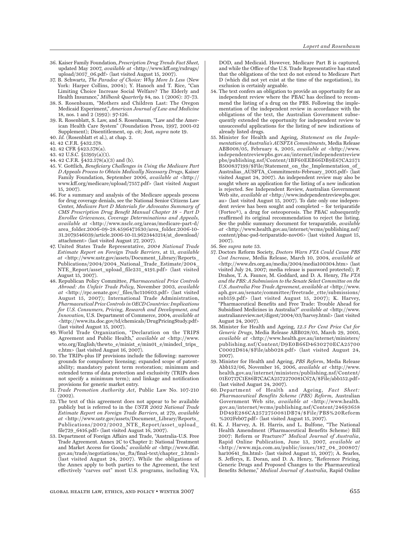- 36. Kaiser Family Foundation, *Prescription Drug Trends Fact Sheet,*  updated May 2007, *available at* <http://www.kff.org/rxdrugs/ upload/3057\_06.pdf> (last visited August 15, 2007).
- 37. B. Schwartz, *The Paradox of Choice: Why More Is Less* (New York: Harper Collins, 2004); Y. Hanoch and T. Rice, "Can Limiting Choice Increase Social Welfare? The Elderly and Health Insurance," *Milbank Quarterly* 84, no. 1 (2006): 37–73.
- 38. S. Rosenbaum, "Mothers and Children Last: The Oregon Medicaid Experiment," *American Journal of Law and Medicine* 18, nos. 1 and 2 (1992): 97-126.
- 39. R. Rosenblatt, S. Law, and S. Rosenbaum, "Law and the American Health Care System" (Foundation Press, 1997, 2001-02 Supplement); Disentitlement, op. cit; Jost*, supra* note 19.
- 40. *Id.* (Rosenblatt et al.), at chap. 2.
- 41. 42 C.F.R. §432.578.
- 42. 42 CFR §423.578(a).
- 43. 42 U.S.C. §1395y(a)(1).
- 44. 42 C.F.R. §432.578(a)(3) and (b).
- 45. V. Gottlich, *Beneficiary Challenges in Using the Medicare Part D Appeals Process to Obtain Medically Necessary Drugs*, Kaiser Family Foundation, September 2006, *available at* <http:// www.kff.org/medicare/upload/7557.pdf> (last visited August 15, 2007).
- 46. For a summary and analysis of the Medicare appeals process for drug coverage denials, see the National Senior Citizens Law Center, *Medicare Part D Materials for Advocates Summary of CMS Prescription Drug Benefit Manual Chapter 18 – Part D Enrollee Grievances, Coverage Determinations and Appeals, available at* <http://www.nsclc.org/areas/medicare-part-d/ area\_folder.2006-09-28.4596471630/area\_folder.2006-10- 31.2079546039/article.2006-10-11.9623443214/at\_download/ attachment> (last visited August 27, 2007).
- 47. United States Trade Representative, *2004 National Trade Estimate Report on Foreign Trade Barriers*, at 11, *available at* <http://www.ustr.gov/assets/Document\_Library/Reports\_ Publications/2004/2004\_National\_Trade\_Estimate/2004\_ NTE\_Report/asset\_upload\_file231\_4191.pdf> (last visited August 15, 2007).
- 48. Republican Policy Committee, *Pharmaceutical Price Controls Abroad: An Unfair Trade Policy*, November 2003, *available at* <http://rpc.senate.gov/\_files/hc110603.pdf> (last visited August 15, 2007); International Trade Administration, *Pharmaceutical Price Controls in OECD Countries: Implications for U.S. Consumers, Pricing, Research and Development, and Innovation*, U.S. Department of Commerce, 2004, *available at* <http://www.ita.doc.gov/td/chemicals/DrugPricingStudy.pdf> (last visited August 15, 2007).
- 49. World Trade Organization, "Declaration on the TRIPS Agreement and Public Health," *available at* <http://www. wto.org/English/thewto\_e/minist\_e/min01\_e/mindecl\_trips\_ e.htm> (last visited August 16, 2007).
- 50. The TRIPs-plus IP provisions include the following: narrower grounds for compulsory licensing; expanded scope of patentability; mandatory patent term restoration; minimum and extended terms of data protection and exclusivity (TRIPs does not specify a minimum term); and linkage and notification provisions for generic market entry.
- 51. *Trade Promotion Authority Act*, Public Law No. 107-210 (2002).
- 52. The text of this agreement does not appear to be available publicly but is referred to in the *USTR 2002 National Trade Estimate Report on Foreign Trade Barriers*, at 279, *available at* <http://www.ustr.gov/assets/Document\_Library/Reports\_ Publications/2002/2002\_NTE\_Report/asset\_upload\_ file729\_6416.pdf> (last visited August 16, 2007).
- 53. Department of Foreign Affairs and Trade, "Australia-U.S. Free Trade Agreement. Annex 2C to Chapter 2: National Treatment and Market Access for Goods," *available at* <http://www.dfat. gov.au/trade/negotiations/us\_fta/final-text/chapter\_2.html> (last visited August 24, 2007). While the obligations of the Annex apply to both parties to the Agreement, the text effectively "carves out" most U.S. programs, including VA,

DOD, and Medicaid. However, Medicare Part B is captured, and while the Office of the U.S. Trade Representative has stated that the obligations of the text do not extend to Medicare Part D (which did not yet exist at the time of the negotiation), its exclusion is certainly arguable.

- 54. The text confers an obligation to provide an opportunity for an independent review where the PBAC has declined to recommend the listing of a drug on the PBS. Following the implementation of the independent review in accordance with the obligations of the text, the Australian Government subsequently extended the opportunity for independent review to unsuccessful applications for the listing of new indications of already listed drugs.
- 55. Minister for Health and Ageing, *Statement on the Imple mentation of Australia's AUSFTA Commitments*, Media Release ABB008/05, February 4, 2005, *available at* <http://www. independentreviewpbs.gov.au/internet/independentreview pbs/publishing.nsf/Content/1BF60EEB66DB9E67CA2571 B500837199/\$File/Statement\_on\_the\_Implementation\_of Australias\_AUSFTA\_Commitments-February\_2005.pdf> (last visited August 24, 2007). An independent review may also be sought where an application for the listing of a new indication is rejected. See Independent Review, Australian Government Web site, *available at* <http://www.independentreviewpbs.gov. au> (last visited August 15, 2007). To date only one independent review has been sought and completed – for teriparatide (Forteo®), a drug for osteoporosis. The PBAC subsequently reaffirmed its original recommendation to reject the listing. See the public summary document for teraparatide, *available at* <http://www.health.gov.au/internet/wcms/publishing.nsf/ content/pbac-psd-teriparatide-nov06> (last visited August 15, 2007).
- 56. See *supra* note 53.
- 57. Doctors Reform Society, *Doctors Warn FTA Could Cause PBS Cost Increase*, Media Release, March 10, 2004, *available at* <http://www.drs.org.au/media/2004/media100304.htm> (last visited July 24, 2007; media release is password protected); P. Drahos, T. A. Faunce, M. Goddard, and D. A. Henry, *The FTA and the PBS: A Submission to the Senate Select Committee on the U.S. Australia Free Trade Agreement*, *available at* <http://www. aph.gov.au/senate/committee/freetrade\_ctte/submissions/ sub159.pdf> (last visited August 15, 2007); K. Harvey, "Pharmaceutical Benefits and Free Trade: Trouble Ahead for Subsidised Medicines in Australia?" *available at* <http://www. australianreview.net/digest/2004/03/harvey.html> (last visited August 24, 2007).
- 58. Minister for Health and Ageing, *12.5 Per Cent Price Cut for Generic Drugs*, Media Release ABB028/05, March 29, 2005, *available at* <http://www.health.gov.au/internet/ministers/ publishing.nsf/Content/D9E0B66D4630270ECA25700 C0002D814/\$File/abb028.pdf> (last visited August 24, 2007).
- 59. Minister for Health and Ageing, *PBS Reform*, Media Release Abb152/06, November 16, 2006, *available at* <http://www. health.gov.au/internet/ministers/publishing.nsf/Content/ 01E0717C1E86B7CACA2572270081C67A/\$File/abb152.pdf> (last visited August 24, 2007).
- 60. Department of Health and Ageing, *Fact Sheet: Pharmaceutical Benefits Scheme (PBS) Reform,* Australian Government Web site, *available at* <http://www.health. gov.au/internet/wcms/publishing.nsf/Content/24693658 DD49E286CA2572750081DB74/\$File/PBS%20Reform %202Feb07.pdf> (last visited August 15, 2007).
- 61. K. J. Harvey, A. H. Harris, and L. Bulfone, "The National Health Amendment (Pharmaceutical Benefits Scheme) Bill 2007: Reform or Fracture?" *Medical Journal of Australia*, Rapid Online Publication, June 13, 2007, *available at*  <http://www.mja.com.au/public/issues/187\_04\_200807/ har10641\_fm.html> (last visited August 15, 2007); A. Searles, S. Jefferys, E. Doran, and D. A. Henry, "Reference Pricing, Generic Drugs and Proposed Changes to the Pharmaceutical Benefits Scheme," *Medical Journal of Australia*, Rapid Online